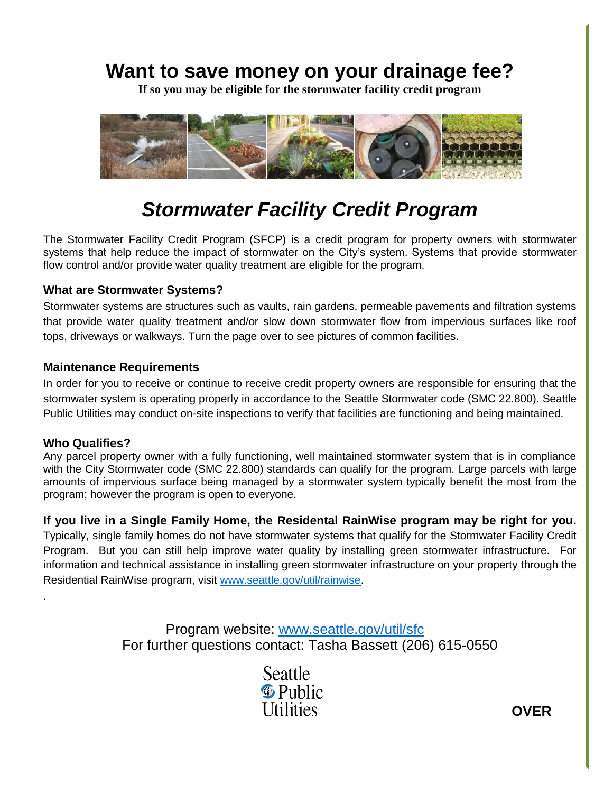## **Want to save money on your drainage fee?**

**If so you may be eligible for the stormwater facility credit program**



# *Stormwater Facility Credit Program*

The Stormwater Facility Credit Program (SFCP) is a credit program for property owners with stormwater systems that help reduce the impact of stormwater on the City's system. Systems that provide stormwater flow control and/or provide water quality treatment are eligible for the program.

### **What are Stormwater Systems?**

Stormwater systems are structures such as vaults, rain gardens, permeable pavements and filtration systems that provide water quality treatment and/or slow down stormwater flow from impervious surfaces like roof tops, driveways or walkways. Turn the page over to see pictures of common facilities.

#### **Maintenance Requirements**

In order for you to receive or continue to receive credit property owners are responsible for ensuring that the stormwater system is operating properly in accordance to the Seattle Stormwater code (SMC 22.800). Seattle Public Utilities may conduct on-site inspections to verify that facilities are functioning and being maintained.

### **Who Qualifies?**

.

Any parcel property owner with a fully functioning, well maintained stormwater system that is in compliance with the City Stormwater code (SMC 22.800) standards can qualify for the program. Large parcels with large amounts of impervious surface being managed by a stormwater system typically benefit the most from the program; however the program is open to everyone.

**If you live in a Single Family Home, the Residental RainWise program may be right for you.** Typically, single family homes do not have stormwater systems that qualify for the Stormwater Facility Credit Program. But you can still help improve water quality by installing green stormwater infrastructure. For information and technical assistance in installing green stormwater infrastructure on your property through the Residential RainWise program, visit [www.seattle.gov/util/rainwise](http://www.seattle.gov/util/rainwise).

> Program website: [www.seattle.gov/util/sfc](http://www.seattle.gov/util/sfc) For further questions contact: Tasha Bassett (206) 615-0550



**OVER**